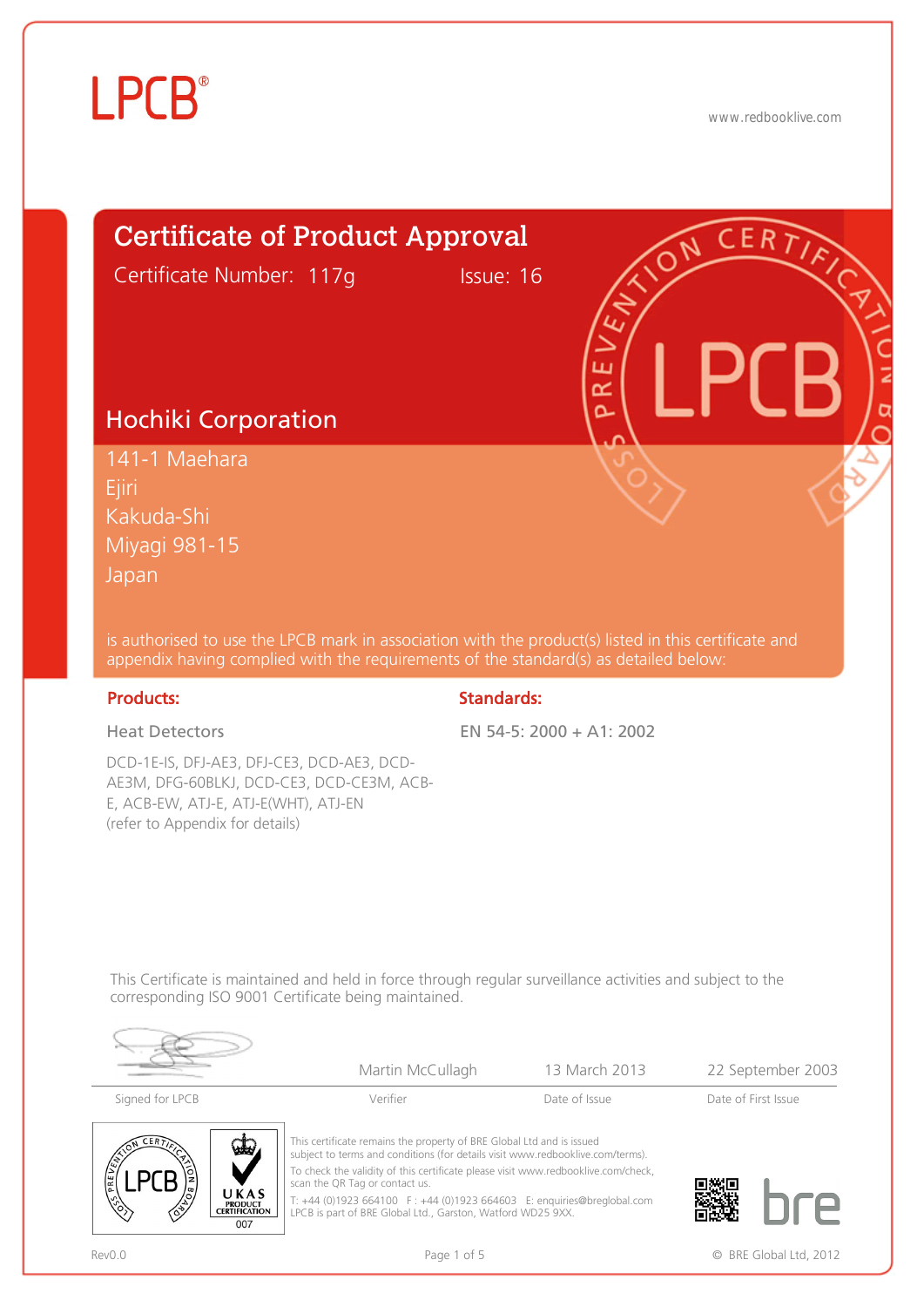

www.redbooklive.com



appendix having complied with the requirements of the standard(s) as detailed below:

#### Products: Standards: Standards: Standards: Standards: Standards: Standards: Standards: Standards: Standards: Standards: Standards: Standards: Standards: Standards: Standards: Standards: Standards: Standards: Standards: Sta

Heat Detectors

DCD-1E-IS, DFJ-AE3, DFJ-CE3, DCD-AE3, DCD-AE3M, DFG-60BLKJ, DCD-CE3, DCD-CE3M, ACB-E, ACB-EW, ATJ-E, ATJ-E(WHT), ATJ-EN (refer to Appendix for details)

#### EN 54-5: 2000 + A1: 2002

This Certificate is maintained and held in force through regular surveillance activities and subject to the corresponding ISO 9001 Certificate being maintained.



|                                                                                                        | Martin McCullagh                                                                                                                                                                                                                                                                                                                                                                                                        | 13 March 2013 | 22 September 2003   |
|--------------------------------------------------------------------------------------------------------|-------------------------------------------------------------------------------------------------------------------------------------------------------------------------------------------------------------------------------------------------------------------------------------------------------------------------------------------------------------------------------------------------------------------------|---------------|---------------------|
| Signed for LPCB                                                                                        | Verifier                                                                                                                                                                                                                                                                                                                                                                                                                | Date of Issue | Date of First Issue |
| <b>CERTY</b><br>سلما<br>مّ∂<br><b>Capital</b><br>UKAS<br><b>PRODUCT</b><br><b>CERTIFICATION</b><br>007 | This certificate remains the property of BRE Global Ltd and is issued<br>subject to terms and conditions (for details visit www.redbooklive.com/terms).<br>To check the validity of this certificate please visit www.redbooklive.com/check,<br>scan the QR Tag or contact us.<br>T: +44 (0)1923 664100 F: +44 (0)1923 664603 E: enquiries@breglobal.com<br>LPCB is part of BRE Global Ltd., Garston, Watford WD25 9XX. |               |                     |

Rev0.0 **Page 1 of 5** Page 1 of 5 **CONFIDENT CONFIDENT** CONFIDENTIAL PAGE CONFIDENTIAL POST OF  $\alpha$  BRE Global Ltd, 2012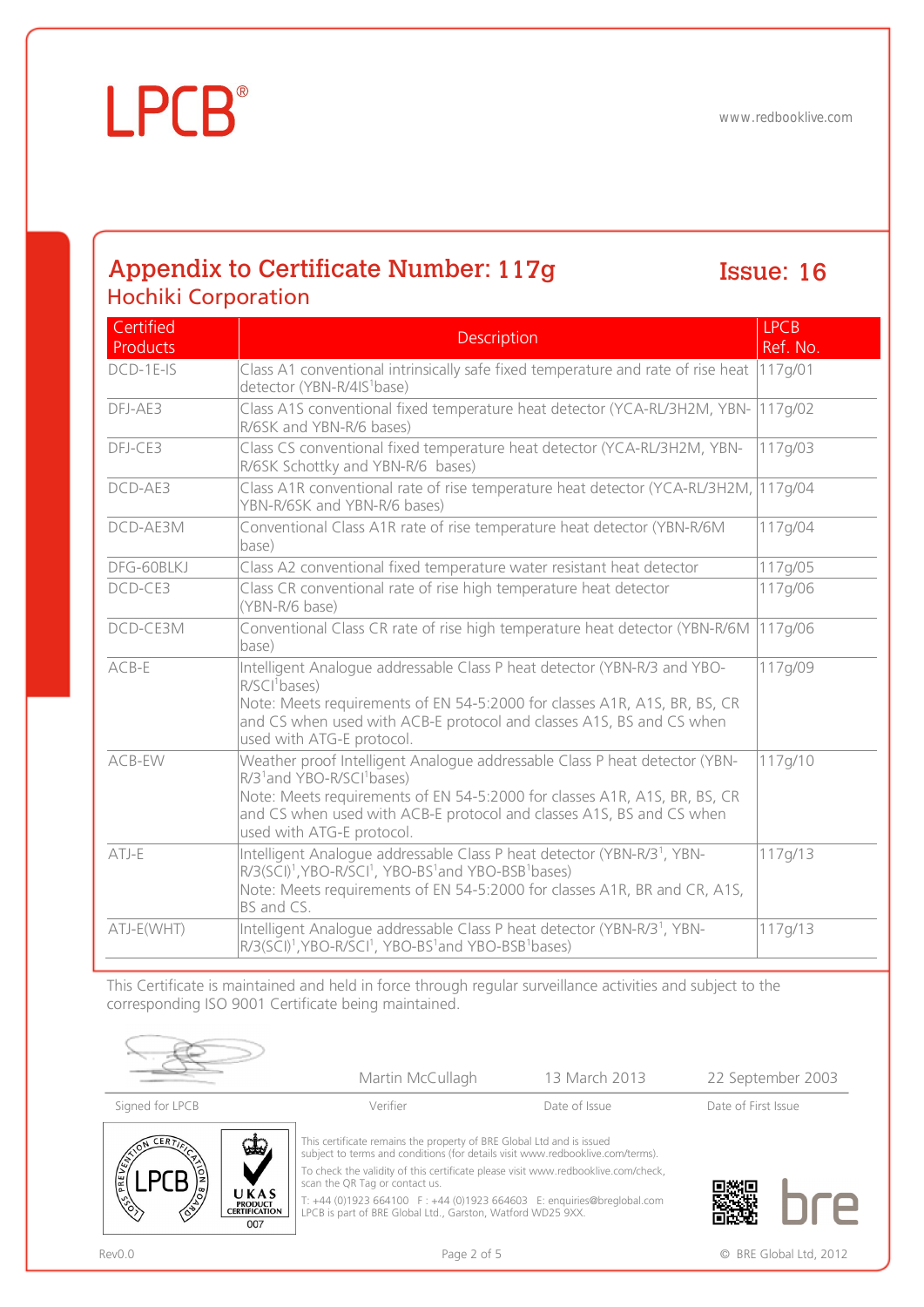## **LPCB**®

### Appendix to Certificate Number: Issue: Hochiki Corporation

## Issue: 16

| Certified<br>Products | <b>Description</b>                                                                                                                                                                                                                                                                                                 | <b>LPCB</b><br>Ref. No. |
|-----------------------|--------------------------------------------------------------------------------------------------------------------------------------------------------------------------------------------------------------------------------------------------------------------------------------------------------------------|-------------------------|
| $DCD-1E-1S$           | Class A1 conventional intrinsically safe fixed temperature and rate of rise heat<br>detector (YBN-R/4IS <sup>1</sup> base)                                                                                                                                                                                         | 117q/01                 |
| DFJ-AE3               | Class A1S conventional fixed temperature heat detector (YCA-RL/3H2M, YBN-<br>R/6SK and YBN-R/6 bases)                                                                                                                                                                                                              | 117g/02                 |
| DFJ-CE3               | Class CS conventional fixed temperature heat detector (YCA-RL/3H2M, YBN-<br>R/6SK Schottky and YBN-R/6 bases)                                                                                                                                                                                                      | 117g/03                 |
| DCD-AE3               | Class A1R conventional rate of rise temperature heat detector (YCA-RL/3H2M, 117g/04<br>YBN-R/6SK and YBN-R/6 bases)                                                                                                                                                                                                |                         |
| DCD-AE3M              | Conventional Class A1R rate of rise temperature heat detector (YBN-R/6M<br>base)                                                                                                                                                                                                                                   | 117g/04                 |
| DFG-60BLKJ            | Class A2 conventional fixed temperature water resistant heat detector                                                                                                                                                                                                                                              | 117g/05                 |
| DCD-CE3               | Class CR conventional rate of rise high temperature heat detector<br>(YBN-R/6 base)                                                                                                                                                                                                                                | 117g/06                 |
| DCD-CE3M              | Conventional Class CR rate of rise high temperature heat detector (YBN-R/6M<br>base)                                                                                                                                                                                                                               | 117g/06                 |
| $ACB-E$               | Intelligent Analogue addressable Class P heat detector (YBN-R/3 and YBO-<br>R/SCI <sup>1</sup> bases)<br>Note: Meets requirements of EN 54-5:2000 for classes A1R, A1S, BR, BS, CR<br>and CS when used with ACB-E protocol and classes A1S, BS and CS when<br>used with ATG-E protocol.                            | 117g/09                 |
| ACB-EW                | Weather proof Intelligent Analogue addressable Class P heat detector (YBN-<br>R/3 <sup>1</sup> and YBO-R/SCI <sup>1</sup> bases)<br>Note: Meets requirements of EN 54-5:2000 for classes A1R, A1S, BR, BS, CR<br>and CS when used with ACB-E protocol and classes A1S, BS and CS when<br>used with ATG-E protocol. | 117g/10                 |
| ATJ-E                 | Intelligent Analogue addressable Class P heat detector (YBN-R/3 <sup>1</sup> , YBN-<br>R/3(SCI) <sup>1</sup> , YBO-R/SCI <sup>1</sup> , YBO-BS <sup>1</sup> and YBO-BSB <sup>1</sup> bases)<br>Note: Meets requirements of EN 54-5:2000 for classes A1R, BR and CR, A1S,<br>BS and CS.                             | 117g/13                 |
| ATJ-E(WHT)            | Intelligent Analogue addressable Class P heat detector (YBN-R/3 <sup>1</sup> , YBN-<br>R/3(SCI) <sup>1</sup> , YBO-R/SCI <sup>1</sup> , YBO-BS <sup>1</sup> and YBO-BSB <sup>1</sup> bases)                                                                                                                        | 117g/13                 |

This Certificate is maintained and held in force through regular surveillance activities and subject to the corresponding ISO 9001 Certificate being maintained.



UKAS

PRODUCT<br>CERTIFICATION

007

 $LPCB$ 

 $\Diamond$ 

|                      | Martin McCullagh                                                                                                                                        | 13 March 2013 | 22 September 2003   |
|----------------------|---------------------------------------------------------------------------------------------------------------------------------------------------------|---------------|---------------------|
| Signed for LPCB      | Verifier                                                                                                                                                | Date of Issue | Date of First Issue |
| $\mathbf{G}_\lambda$ | This certificate remains the property of BRE Global Ltd and is issued<br>subject to terms and conditions (for details visit www.redbooklive.com/terms). |               |                     |



To check the validity of this certificate please visit www.redbooklive.com/check, scan the QR Tag or contact us.

T: +44 (0)1923 664100 F : +44 (0)1923 664603 E: enquiries@breglobal.com LPCB is part of BRE Global Ltd., Garston, Watford WD25 9XX.

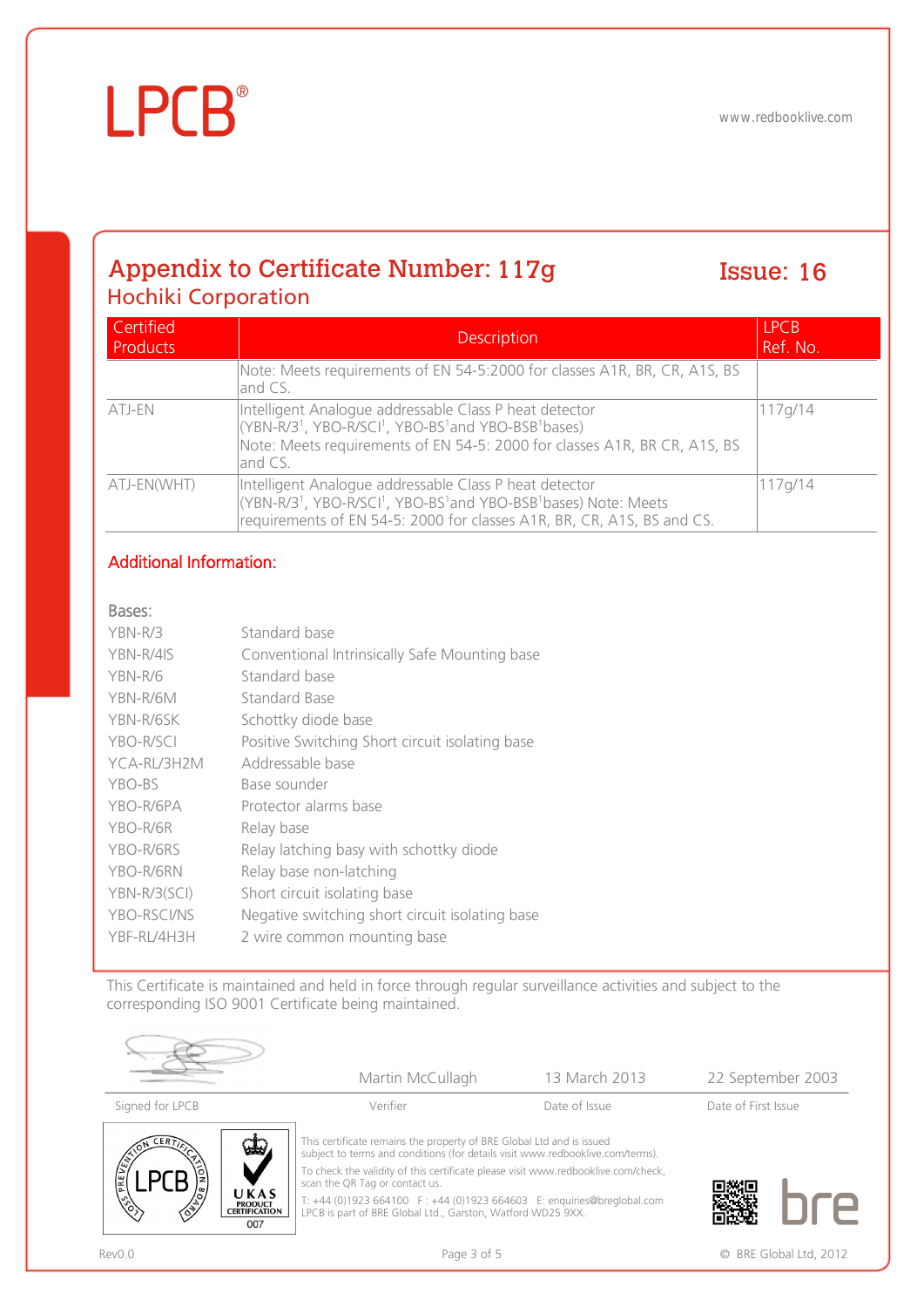## Appendix to Certificate Number: Issue: Hochiki Corporation

## Issue: 16

| Certified<br>Products | <b>Description</b>                                                                                                                                                                                                                                      | <b>LPCB</b><br>Ref. No. |
|-----------------------|---------------------------------------------------------------------------------------------------------------------------------------------------------------------------------------------------------------------------------------------------------|-------------------------|
|                       | Note: Meets requirements of EN 54-5:2000 for classes A1R, BR, CR, A1S, BS<br>and CS.                                                                                                                                                                    |                         |
| ATJ-EN                | Intelligent Analogue addressable Class P heat detector<br>(YBN-R/3 <sup>1</sup> , YBO-R/SCI <sup>1</sup> , YBO-BS <sup>1</sup> and YBO-BSB <sup>1</sup> bases)<br>Note: Meets requirements of EN 54-5: 2000 for classes A1R, BR CR, A1S, BS<br>land CS. | 117g/14                 |
| ATJ-EN(WHT)           | Intelligent Analogue addressable Class P heat detector<br>(YBN-R/3 <sup>1</sup> , YBO-R/SCI <sup>1</sup> , YBO-BS <sup>1</sup> and YBO-BSB <sup>1</sup> bases) Note: Meets<br>requirements of EN 54-5: 2000 for classes A1R, BR, CR, A1S, BS and CS.    | 117g/14                 |

### Additional Information:

**LPCB**®

#### Bases:

| $YBN-R/3$    | Standard base                                   |
|--------------|-------------------------------------------------|
| YBN-R/4IS    | Conventional Intrinsically Safe Mounting base   |
| YBN-R/6      | Standard base                                   |
| YBN-R/6M     | Standard Base                                   |
| YBN-R/6SK    | Schottky diode base                             |
| YBO-R/SCI    | Positive Switching Short circuit isolating base |
| YCA-RL/3H2M  | Addressable base                                |
| YBO-BS       | Base sounder                                    |
| YBO-R/6PA    | Protector alarms base                           |
| YBO-R/6R     | Relay base                                      |
| YBO-R/6RS    | Relay latching basy with schottky diode         |
| YBO-R/6RN    | Relay base non-latching                         |
| YBN-R/3(SCI) | Short circuit isolating base                    |
| YBO-RSCI/NS  | Negative switching short circuit isolating base |
| YBF-RL/4H3H  | 2 wire common mounting base                     |

This Certificate is maintained and held in force through regular surveillance activities and subject to the corresponding ISO 9001 Certificate being maintained.

|                                                                                                 | Martin McCullagh                                                                                                                                                                                                                                                                                                                                                                                                        | 13 March 2013 | 22 September 2003   |
|-------------------------------------------------------------------------------------------------|-------------------------------------------------------------------------------------------------------------------------------------------------------------------------------------------------------------------------------------------------------------------------------------------------------------------------------------------------------------------------------------------------------------------------|---------------|---------------------|
| Signed for LPCB                                                                                 | Verifier                                                                                                                                                                                                                                                                                                                                                                                                                | Date of Issue | Date of First Issue |
| ERT,<br>PREVEN<br>UKAS<br>$\sqrt{\frac{2}{3}}$<br><b>PRODUCT</b><br><b>CERTIFICATION</b><br>007 | This certificate remains the property of BRE Global Ltd and is issued<br>subject to terms and conditions (for details visit www.redbooklive.com/terms).<br>To check the validity of this certificate please visit www.redbooklive.com/check,<br>scan the QR Tag or contact us.<br>T: +44 (0)1923 664100 F: +44 (0)1923 664603 E: enquiries@breglobal.com<br>LPCB is part of BRE Global Ltd., Garston, Watford WD25 9XX. |               |                     |

 $\epsilon$ 



Rev0.0 **Page 3 of 5** Page 3 of 5 **CONFIDENT CONFIDENT CONFIDENT CONFIDENT CONFIDENT CONFIDENT CONFIDENT CONFIDENT CONFIDENT CONFIDENT**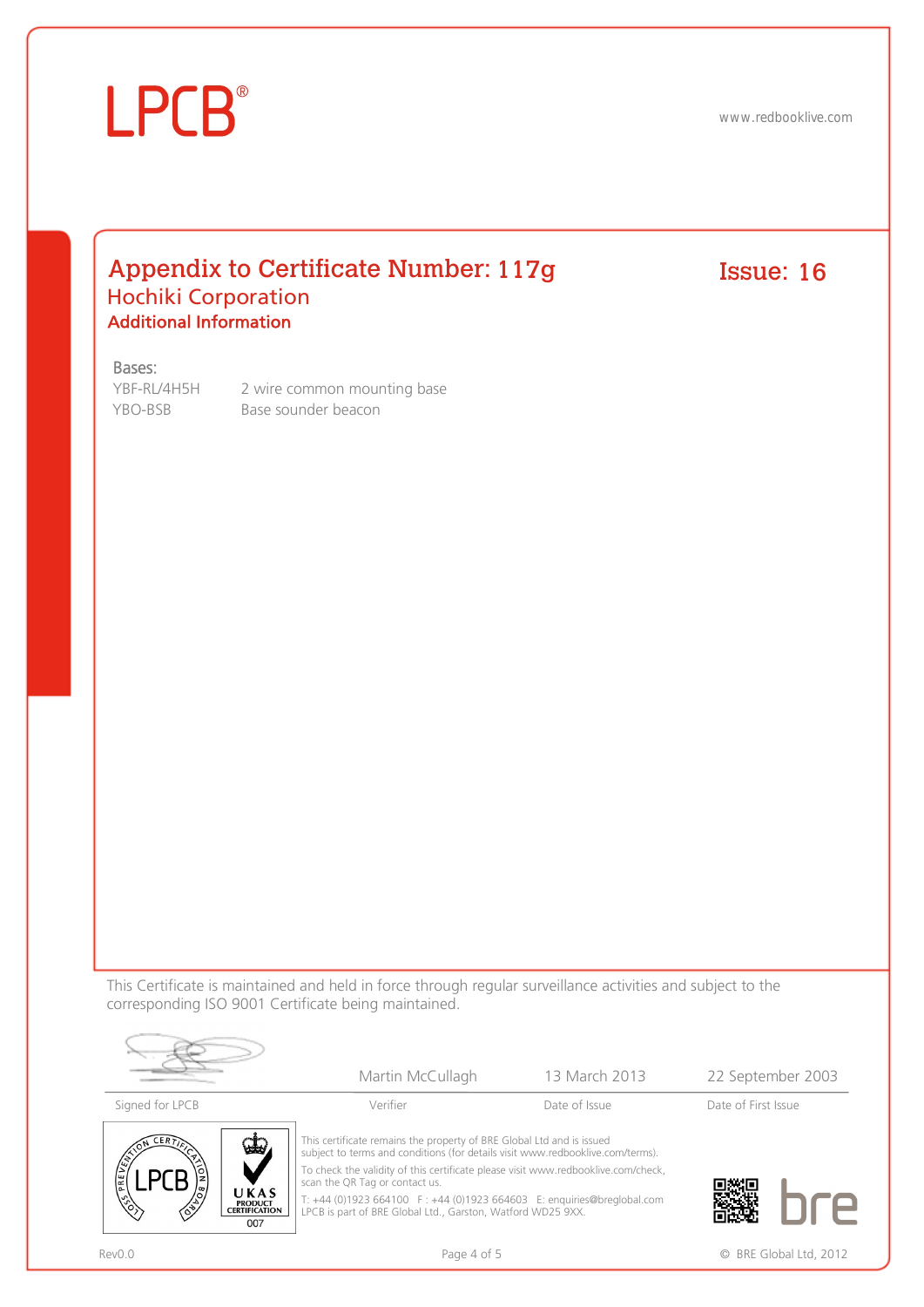## **LPCB**®

www.redbooklive.com

### Appendix to Certificate Number: 117g Issue: Hochiki Corporation Additional Information

## $Issue: 16$

#### Bases:

YBF-RL/4H5H 2 wire common mounting base YBO-BSB Base sounder beacon

This Certificate is maintained and held in force through regular surveillance activities and subject to the corresponding ISO 9001 Certificate being maintained.



|                         | Martin McCullagh                                                                                                                                        | 13 March 2013 | 22 September 2003   |
|-------------------------|---------------------------------------------------------------------------------------------------------------------------------------------------------|---------------|---------------------|
| Signed for LPCB         | Verifier                                                                                                                                                | Date of Issue | Date of First Issue |
| $\mathbf{\hat{\omega}}$ | This certificate remains the property of BRE Global Ltd and is issued<br>subject to terms and conditions (for details visit www.redbooklive.com/terms). |               |                     |



To check the validity of this certificate please visit www.redbooklive.com/check,

scan the QR Tag or contact us. T: +44 (0)1923 664100 F : +44 (0)1923 664603 E: enquiries@breglobal.com

LPCB is part of BRE Global Ltd., Garston, Watford WD25 9XX.